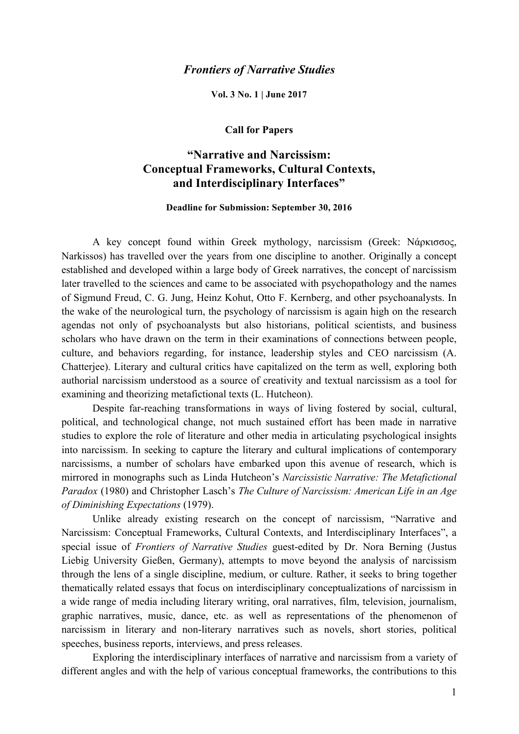## *Frontiers of Narrative Studies*

**Vol. 3 No. 1 | June 2017**

## **Call for Papers**

## **"Narrative and Narcissism: Conceptual Frameworks, Cultural Contexts, and Interdisciplinary Interfaces"**

## **Deadline for Submission: September 30, 2016**

A key concept found within Greek mythology, narcissism (Greek: Νάρκισσος, Narkissos) has travelled over the years from one discipline to another. Originally a concept established and developed within a large body of Greek narratives, the concept of narcissism later travelled to the sciences and came to be associated with psychopathology and the names of Sigmund Freud, C. G. Jung, Heinz Kohut, Otto F. Kernberg, and other psychoanalysts. In the wake of the neurological turn, the psychology of narcissism is again high on the research agendas not only of psychoanalysts but also historians, political scientists, and business scholars who have drawn on the term in their examinations of connections between people, culture, and behaviors regarding, for instance, leadership styles and CEO narcissism (A. Chatterjee). Literary and cultural critics have capitalized on the term as well, exploring both authorial narcissism understood as a source of creativity and textual narcissism as a tool for examining and theorizing metafictional texts (L. Hutcheon).

Despite far-reaching transformations in ways of living fostered by social, cultural, political, and technological change, not much sustained effort has been made in narrative studies to explore the role of literature and other media in articulating psychological insights into narcissism. In seeking to capture the literary and cultural implications of contemporary narcissisms, a number of scholars have embarked upon this avenue of research, which is mirrored in monographs such as Linda Hutcheon's *Narcissistic Narrative: The Metafictional Paradox* (1980) and Christopher Lasch's *The Culture of Narcissism: American Life in an Age of Diminishing Expectations* (1979).

Unlike already existing research on the concept of narcissism, "Narrative and Narcissism: Conceptual Frameworks, Cultural Contexts, and Interdisciplinary Interfaces", a special issue of *Frontiers of Narrative Studies* guest-edited by Dr. Nora Berning (Justus Liebig University Gießen, Germany), attempts to move beyond the analysis of narcissism through the lens of a single discipline, medium, or culture. Rather, it seeks to bring together thematically related essays that focus on interdisciplinary conceptualizations of narcissism in a wide range of media including literary writing, oral narratives, film, television, journalism, graphic narratives, music, dance, etc. as well as representations of the phenomenon of narcissism in literary and non-literary narratives such as novels, short stories, political speeches, business reports, interviews, and press releases.

Exploring the interdisciplinary interfaces of narrative and narcissism from a variety of different angles and with the help of various conceptual frameworks, the contributions to this